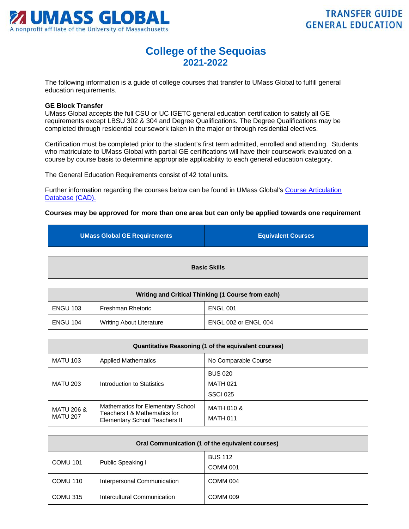

## **College of the Sequoias 2021-2022**

The following information is a guide of college courses that transfer to UMass Global to fulfill general education requirements.

## **GE Block Transfer**

UMass Global accepts the full CSU or UC IGETC general education certification to satisfy all GE requirements except LBSU 302 & 304 and Degree Qualifications. The Degree Qualifications may be completed through residential coursework taken in the major or through residential electives.

Certification must be completed prior to the student's first term admitted, enrolled and attending. Students who matriculate to UMass Global with partial GE certifications will have their coursework evaluated on a course by course basis to determine appropriate applicability to each general education category.

The General Education Requirements consist of 42 total units.

Further information regarding the courses below can be found in UMass Global's [Course Articulation](http://services.umassglobal.edu/studentservices/TransferCredit/)  Database (CAD).

## **Courses may be approved for more than one area but can only be applied towards one requirement**

| <b>UMass Global GE Requirements</b> | <b>Equivalent Courses</b> |  |
|-------------------------------------|---------------------------|--|
| <b>Basic Skills</b>                 |                           |  |

| Writing and Critical Thinking (1 Course from each) |                                 |                      |
|----------------------------------------------------|---------------------------------|----------------------|
| <b>ENGU 103</b>                                    | Freshman Rhetoric               | <b>ENGL 001</b>      |
| ENGU 104                                           | <b>Writing About Literature</b> | ENGL 002 or ENGL 004 |

| Quantitative Reasoning (1 of the equivalent courses) |                                                                                                    |                               |
|------------------------------------------------------|----------------------------------------------------------------------------------------------------|-------------------------------|
| <b>MATU 103</b>                                      | <b>Applied Mathematics</b>                                                                         | No Comparable Course          |
|                                                      |                                                                                                    | <b>BUS 020</b>                |
| <b>MATU 203</b><br>Introduction to Statistics        | <b>MATH 021</b>                                                                                    |                               |
|                                                      |                                                                                                    | <b>SSCI 025</b>               |
| <b>MATU 206 &amp;</b><br><b>MATU 207</b>             | Mathematics for Elementary School<br>Teachers I & Mathematics for<br>Elementary School Teachers II | MATH 010 &<br><b>MATH 011</b> |

| Oral Communication (1 of the equivalent courses) |                             |                     |
|--------------------------------------------------|-----------------------------|---------------------|
| <b>COMU 101</b><br>Public Speaking I             | <b>BUS 112</b>              |                     |
|                                                  | COMM 001                    |                     |
| COMU 110                                         | Interpersonal Communication | COMM 004            |
| COMU 315                                         | Intercultural Communication | COMM <sub>009</sub> |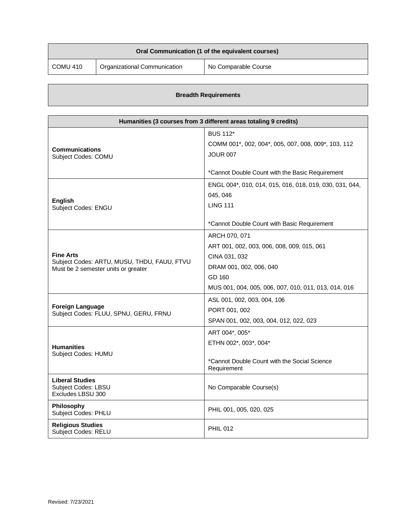| Oral Communication (1 of the equivalent courses) |                              |                      |
|--------------------------------------------------|------------------------------|----------------------|
| COMU 410                                         | Organizational Communication | No Comparable Course |

|  | <b>Breadth Requirements</b> |
|--|-----------------------------|
|--|-----------------------------|

| Humanities (3 courses from 3 different areas totaling 9 credits) |                                                             |
|------------------------------------------------------------------|-------------------------------------------------------------|
|                                                                  | <b>BUS 112*</b>                                             |
| <b>Communications</b>                                            | COMM 001*, 002, 004*, 005, 007, 008, 009*, 103, 112         |
| Subject Codes: COMU                                              | <b>JOUR 007</b>                                             |
|                                                                  | *Cannot Double Count with the Basic Requirement             |
|                                                                  | ENGL 004*, 010, 014, 015, 016, 018, 019, 030, 031, 044,     |
|                                                                  | 045, 046                                                    |
| <b>English</b><br>Subject Codes: ENGU                            | <b>LING 111</b>                                             |
|                                                                  | *Cannot Double Count with Basic Requirement                 |
|                                                                  | ARCH 070, 071                                               |
|                                                                  | ART 001, 002, 003, 006, 008, 009, 015, 061                  |
| <b>Fine Arts</b><br>Subject Codes: ARTU, MUSU, THDU, FAUU, FTVU  | CINA 031, 032                                               |
| Must be 2 semester units or greater                              | DRAM 001, 002, 006, 040                                     |
|                                                                  | GD 160                                                      |
|                                                                  | MUS 001, 004, 005, 006, 007, 010, 011, 013, 014, 016        |
|                                                                  | ASL 001, 002, 003, 004, 106                                 |
| <b>Foreign Language</b><br>Subject Codes: FLUU, SPNU, GERU, FRNU | PORT 001, 002                                               |
|                                                                  | SPAN 001, 002, 003, 004, 012, 022, 023                      |
|                                                                  | ART 004*, 005*                                              |
| <b>Humanities</b>                                                | ETHN 002*, 003*, 004*                                       |
| Subject Codes: HUMU                                              |                                                             |
|                                                                  | *Cannot Double Count with the Social Science<br>Requirement |
| <b>Liberal Studies</b>                                           |                                                             |
| <b>Subject Codes: LBSU</b><br>Excludes LBSU 300                  | No Comparable Course(s)                                     |
| Philosophy<br>Subject Codes: PHLU                                | PHIL 001, 005, 020, 025                                     |
| <b>Religious Studies</b><br><b>Subject Codes: RELU</b>           | <b>PHIL 012</b>                                             |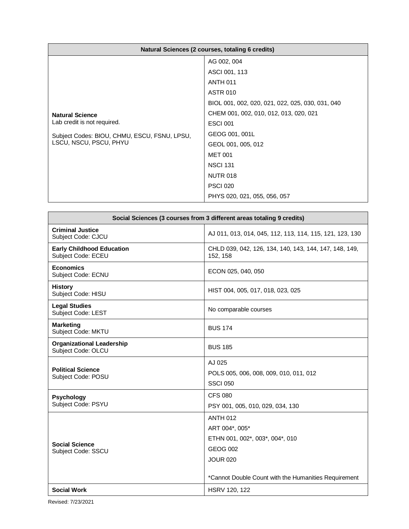| Natural Sciences (2 courses, totaling 6 credits) |                                                  |
|--------------------------------------------------|--------------------------------------------------|
|                                                  | AG 002, 004                                      |
|                                                  | ASCI 001, 113                                    |
|                                                  | <b>ANTH 011</b>                                  |
| <b>Natural Science</b>                           | <b>ASTR 010</b>                                  |
|                                                  | BIOL 001, 002, 020, 021, 022, 025, 030, 031, 040 |
|                                                  | CHEM 001, 002, 010, 012, 013, 020, 021           |
| Lab credit is not required.                      | <b>ESCI 001</b>                                  |
| Subject Codes: BIOU, CHMU, ESCU, FSNU, LPSU,     | GEOG 001, 001L                                   |
| LSCU, NSCU, PSCU, PHYU                           | GEOL 001, 005, 012                               |
|                                                  | <b>MET 001</b>                                   |
|                                                  | <b>NSCI 131</b>                                  |
|                                                  | <b>NUTR 018</b>                                  |
|                                                  | <b>PSCI 020</b>                                  |
|                                                  | PHYS 020, 021, 055, 056, 057                     |

| Social Sciences (3 courses from 3 different areas totaling 9 credits) |                                                                                                                                                                    |  |
|-----------------------------------------------------------------------|--------------------------------------------------------------------------------------------------------------------------------------------------------------------|--|
| <b>Criminal Justice</b><br>Subject Code: CJCU                         | AJ 011, 013, 014, 045, 112, 113, 114, 115, 121, 123, 130                                                                                                           |  |
| <b>Early Childhood Education</b><br><b>Subject Code: ECEU</b>         | CHLD 039, 042, 126, 134, 140, 143, 144, 147, 148, 149,<br>152, 158                                                                                                 |  |
| <b>Economics</b><br>Subject Code: ECNU                                | ECON 025, 040, 050                                                                                                                                                 |  |
| <b>History</b><br>Subject Code: HISU                                  | HIST 004, 005, 017, 018, 023, 025                                                                                                                                  |  |
| <b>Legal Studies</b><br>Subject Code: LEST                            | No comparable courses                                                                                                                                              |  |
| <b>Marketing</b><br>Subject Code: MKTU                                | <b>BUS 174</b>                                                                                                                                                     |  |
| <b>Organizational Leadership</b><br>Subject Code: OLCU                | <b>BUS 185</b>                                                                                                                                                     |  |
| <b>Political Science</b><br>Subject Code: POSU                        | AJ 025<br>POLS 005, 006, 008, 009, 010, 011, 012<br><b>SSCI 050</b>                                                                                                |  |
| <b>Psychology</b><br>Subject Code: PSYU                               | <b>CFS 080</b><br>PSY 001, 005, 010, 029, 034, 130                                                                                                                 |  |
| <b>Social Science</b><br>Subject Code: SSCU                           | <b>ANTH 012</b><br>ART 004*, 005*<br>ETHN 001, 002*, 003*, 004*, 010<br><b>GEOG 002</b><br><b>JOUR 020</b><br>*Cannot Double Count with the Humanities Requirement |  |
| <b>Social Work</b>                                                    | HSRV 120, 122                                                                                                                                                      |  |